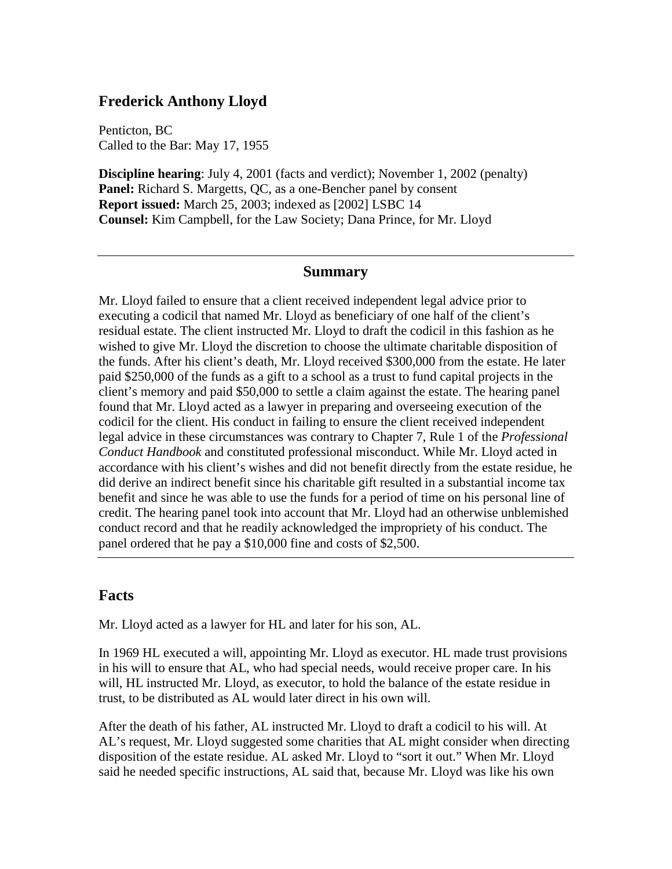### **Frederick Anthony Lloyd**

Penticton, BC Called to the Bar: May 17, 1955

**Discipline hearing**: July 4, 2001 (facts and verdict); November 1, 2002 (penalty) **Panel:** Richard S. Margetts, QC, as a one-Bencher panel by consent **Report issued:** March 25, 2003; indexed as [2002] LSBC 14 **Counsel:** Kim Campbell, for the Law Society; Dana Prince, for Mr. Lloyd

#### **Summary**

Mr. Lloyd failed to ensure that a client received independent legal advice prior to executing a codicil that named Mr. Lloyd as beneficiary of one half of the client's residual estate. The client instructed Mr. Lloyd to draft the codicil in this fashion as he wished to give Mr. Lloyd the discretion to choose the ultimate charitable disposition of the funds. After his client's death, Mr. Lloyd received \$300,000 from the estate. He later paid \$250,000 of the funds as a gift to a school as a trust to fund capital projects in the client's memory and paid \$50,000 to settle a claim against the estate. The hearing panel found that Mr. Lloyd acted as a lawyer in preparing and overseeing execution of the codicil for the client. His conduct in failing to ensure the client received independent legal advice in these circumstances was contrary to Chapter 7, Rule 1 of the *Professional Conduct Handbook* and constituted professional misconduct. While Mr. Lloyd acted in accordance with his client's wishes and did not benefit directly from the estate residue, he did derive an indirect benefit since his charitable gift resulted in a substantial income tax benefit and since he was able to use the funds for a period of time on his personal line of credit. The hearing panel took into account that Mr. Lloyd had an otherwise unblemished conduct record and that he readily acknowledged the impropriety of his conduct. The panel ordered that he pay a \$10,000 fine and costs of \$2,500.

### **Facts**

Mr. Lloyd acted as a lawyer for HL and later for his son, AL.

In 1969 HL executed a will, appointing Mr. Lloyd as executor. HL made trust provisions in his will to ensure that AL, who had special needs, would receive proper care. In his will, HL instructed Mr. Lloyd, as executor, to hold the balance of the estate residue in trust, to be distributed as AL would later direct in his own will.

After the death of his father, AL instructed Mr. Lloyd to draft a codicil to his will. At AL's request, Mr. Lloyd suggested some charities that AL might consider when directing disposition of the estate residue. AL asked Mr. Lloyd to "sort it out." When Mr. Lloyd said he needed specific instructions, AL said that, because Mr. Lloyd was like his own